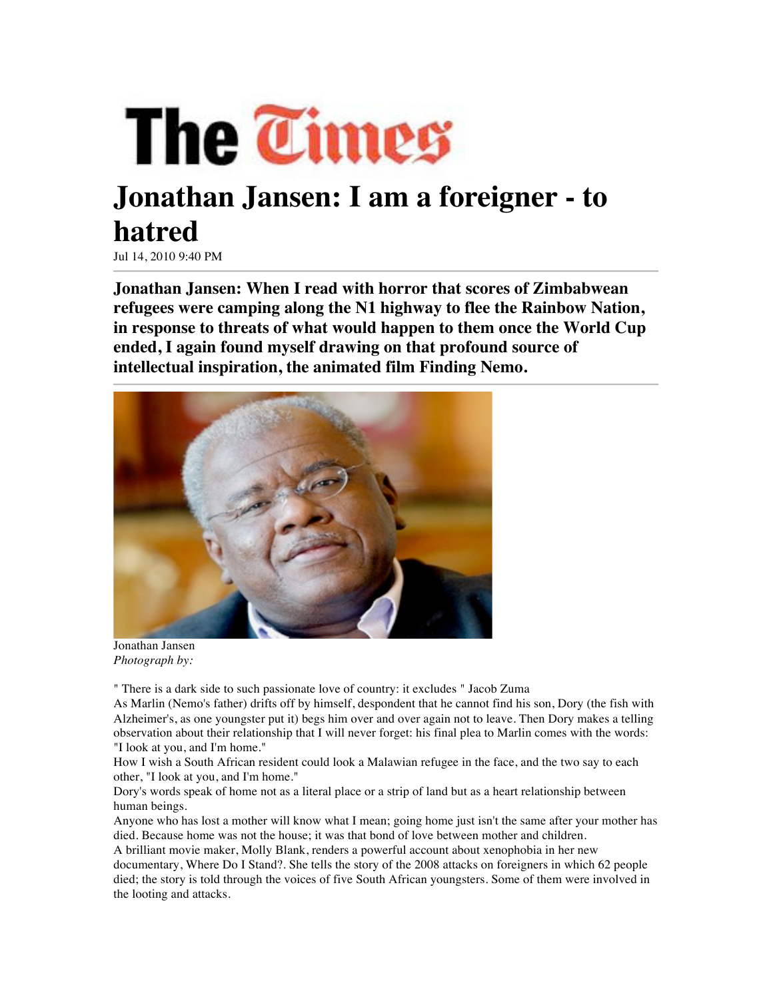

## **Jonathan Jansen: I am a foreigner - to hatred**

Jul 14, 2010 9:40 PM

**Jonathan Jansen: When I read with horror that scores of Zimbabwean refugees were camping along the N1 highway to flee the Rainbow Nation, in response to threats of what would happen to them once the World Cup ended, I again found myself drawing on that profound source of intellectual inspiration, the animated film Finding Nemo.** 



Jonathan Jansen *Photograph by:* 

" There is a dark side to such passionate love of country: it excludes " Jacob Zuma

As Marlin (Nemo's father) drifts off by himself, despondent that he cannot find his son, Dory (the fish with Alzheimer's, as one youngster put it) begs him over and over again not to leave. Then Dory makes a telling observation about their relationship that I will never forget: his final plea to Marlin comes with the words: "I look at you, and I'm home."

How I wish a South African resident could look a Malawian refugee in the face, and the two say to each other, "I look at you, and I'm home."

Dory's words speak of home not as a literal place or a strip of land but as a heart relationship between human beings.

Anyone who has lost a mother will know what I mean; going home just isn't the same after your mother has died. Because home was not the house; it was that bond of love between mother and children.

A brilliant movie maker, Molly Blank, renders a powerful account about xenophobia in her new documentary, Where Do I Stand?. She tells the story of the 2008 attacks on foreigners in which 62 people died; the story is told through the voices of five South African youngsters. Some of them were involved in the looting and attacks.